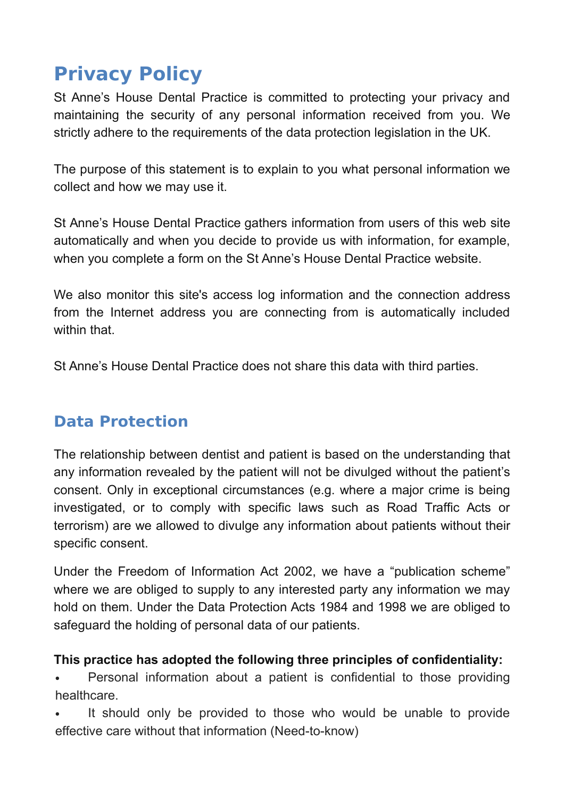# **Privacy Policy**

St Anne's House Dental Practice is committed to protecting your privacy and maintaining the security of any personal information received from you. We strictly adhere to the requirements of the data protection legislation in the UK.

The purpose of this statement is to explain to you what personal information we collect and how we may use it.

St Anne's House Dental Practice gathers information from users of this web site automatically and when you decide to provide us with information, for example, when you complete a form on the St Anne's House Dental Practice website.

We also monitor this site's access log information and the connection address from the Internet address you are connecting from is automatically included within that.

St Anne's House Dental Practice does not share this data with third parties.

# **Data Protection**

The relationship between dentist and patient is based on the understanding that any information revealed by the patient will not be divulged without the patient's consent. Only in exceptional circumstances (e.g. where a major crime is being investigated, or to comply with specific laws such as Road Traffic Acts or terrorism) are we allowed to divulge any information about patients without their specific consent.

Under the Freedom of Information Act 2002, we have a "publication scheme" where we are obliged to supply to any interested party any information we may hold on them. Under the Data Protection Acts 1984 and 1998 we are obliged to safeguard the holding of personal data of our patients.

#### **This practice has adopted the following three principles of confidentiality:**

• Personal information about a patient is confidential to those providing healthcare.

 It should only be provided to those who would be unable to provide effective care without that information (Need-to-know)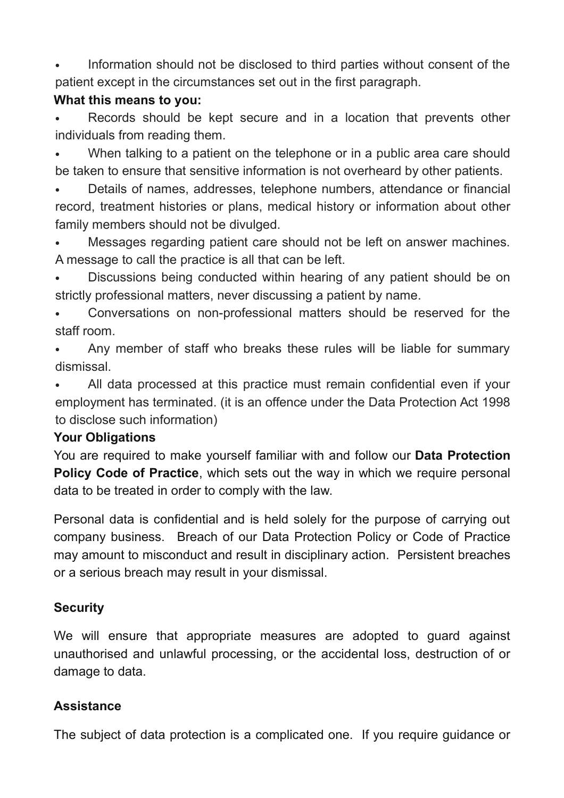Information should not be disclosed to third parties without consent of the patient except in the circumstances set out in the first paragraph.

#### **What this means to you:**

 Records should be kept secure and in a location that prevents other individuals from reading them.

 When talking to a patient on the telephone or in a public area care should be taken to ensure that sensitive information is not overheard by other patients.

 Details of names, addresses, telephone numbers, attendance or financial record, treatment histories or plans, medical history or information about other family members should not be divulged.

 Messages regarding patient care should not be left on answer machines. A message to call the practice is all that can be left.

 Discussions being conducted within hearing of any patient should be on strictly professional matters, never discussing a patient by name.

 Conversations on non-professional matters should be reserved for the staff room.

 Any member of staff who breaks these rules will be liable for summary dismissal.

 All data processed at this practice must remain confidential even if your employment has terminated. (it is an offence under the Data Protection Act 1998 to disclose such information)

#### **Your Obligations**

You are required to make yourself familiar with and follow our **Data Protection Policy Code of Practice**, which sets out the way in which we require personal data to be treated in order to comply with the law.

Personal data is confidential and is held solely for the purpose of carrying out company business. Breach of our Data Protection Policy or Code of Practice may amount to misconduct and result in disciplinary action. Persistent breaches or a serious breach may result in your dismissal.

## **Security**

We will ensure that appropriate measures are adopted to guard against unauthorised and unlawful processing, or the accidental loss, destruction of or damage to data.

## **Assistance**

The subject of data protection is a complicated one. If you require guidance or